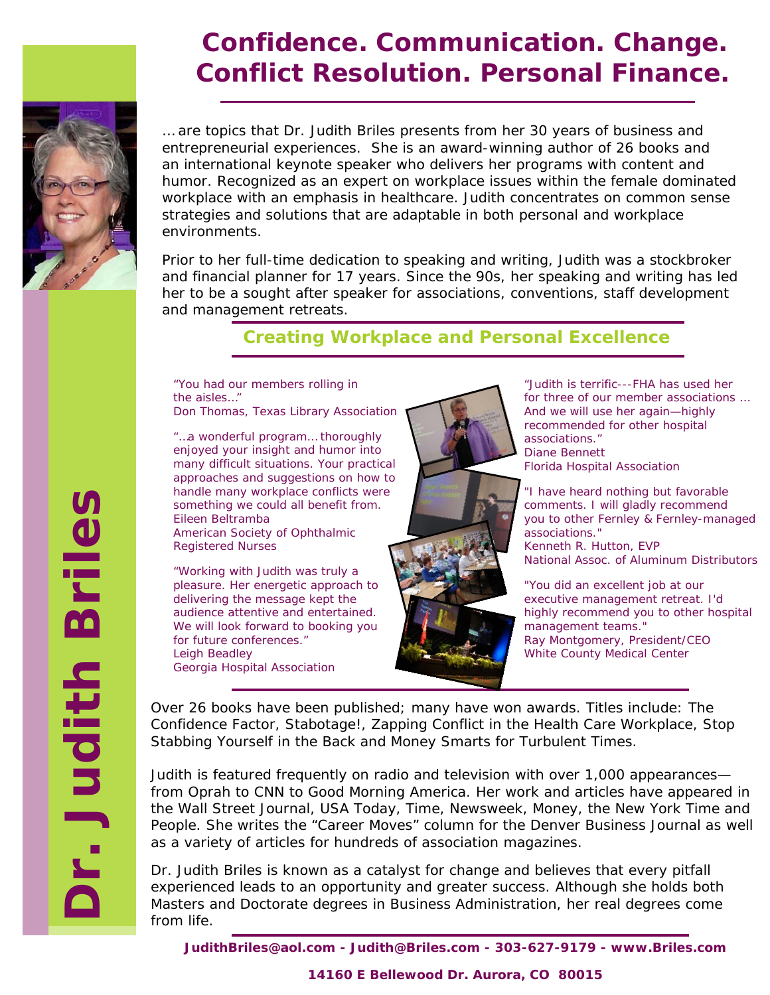

# **Confidence. Communication. Change. Conflict Resolution. Personal Finance.**

… are topics that Dr. Judith Briles presents from her 30 years of business and entrepreneurial experiences. She is an award-winning author of 26 books and an international keynote speaker who delivers her programs with content and humor. Recognized as an expert on workplace issues within the female dominated workplace with an emphasis in healthcare. Judith concentrates on common sense strategies and solutions that are adaptable in both personal and workplace environments.

Prior to her full-time dedication to speaking and writing, Judith was a stockbroker and financial planner for 17 years. Since the 90s, her speaking and writing has led her to be a sought after speaker for associations, conventions, staff development and management retreats.

 *Creating Workplace and Personal Excellence*

*"You had our members rolling in the aisles…"*  Don Thomas, Texas Library Association

*"…a wonderful program… thoroughly enjoyed your insight and humor into many difficult situations. Your practical approaches and suggestions on how to handle many workplace conflicts were something we could all benefit from.*  Eileen Beltramba American Society of Ophthalmic

Registered Nurses

*"Working with Judith was truly a pleasure. Her energetic approach to delivering the message kept the audience attentive and entertained. We will look forward to booking you for future conferences."*  Leigh Beadley Georgia Hospital Association



*"Judith is terrific---FHA has used her for three of our member associations … And we will use her again—highly recommended for other hospital associations."* Diane Bennett Florida Hospital Association

*"I have heard nothing but favorable comments. I will gladly recommend you to other Fernley & Fernley-managed associations."*  Kenneth R. Hutton, EVP National Assoc. of Aluminum Distributors

"*You did an excellent job at our executive management retreat. I'd highly recommend you to other hospital management teams."* Ray Montgomery, President/CEO White County Medical Center

Over 26 books have been published; many have won awards. Titles include: *The Confidence Factor, Stabotage!, Zapping Conflict in the Health Care Workplace, Stop Stabbing Yourself in the Back* and *Money Smarts for Turbulent Times.*

Judith is featured frequently on radio and television with over 1,000 appearances from *Oprah* to *CNN* to *Good Morning America*. Her work and articles have appeared in the *Wall Street Journal, USA Today, Time, Newsweek, Money, the New York Time* and *People*. She writes the "Career Moves" column for the *Denver Business Journal* as well as a variety of articles for hundreds of association magazines.

Dr. Judith Briles is known as a catalyst for change and believes that every pitfall experienced leads to an opportunity and greater success. Although she holds both Masters and Doctorate degrees in Business Administration, her real degrees come from life.